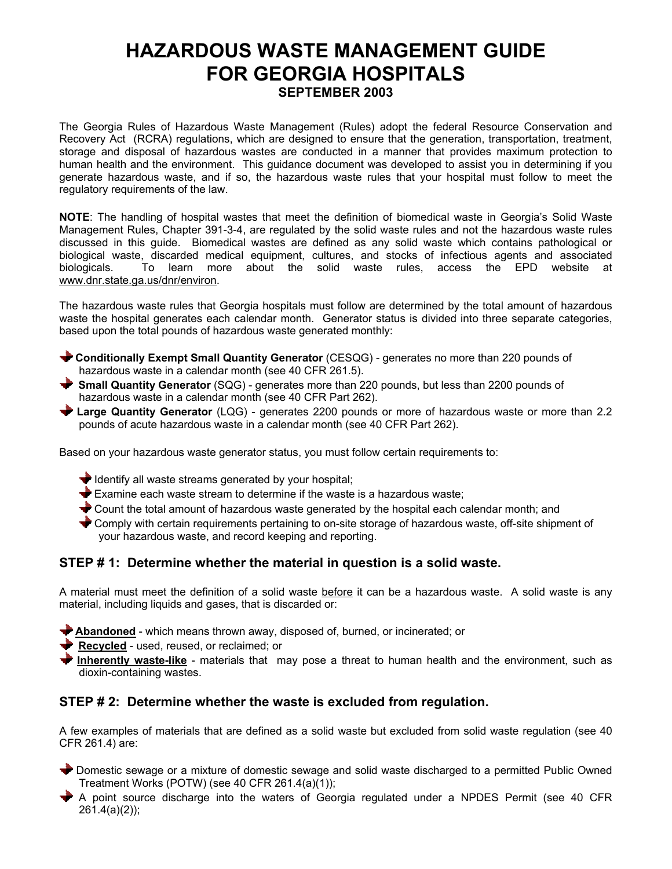# **HAZARDOUS WASTE MANAGEMENT GUIDE FOR GEORGIA HOSPITALS SEPTEMBER 2003**

The Georgia Rules of Hazardous Waste Management (Rules) adopt the federal Resource Conservation and Recovery Act (RCRA) regulations, which are designed to ensure that the generation, transportation, treatment, storage and disposal of hazardous wastes are conducted in a manner that provides maximum protection to human health and the environment. This guidance document was developed to assist you in determining if you generate hazardous waste, and if so, the hazardous waste rules that your hospital must follow to meet the regulatory requirements of the law.

**NOTE**: The handling of hospital wastes that meet the definition of biomedical waste in Georgia's Solid Waste Management Rules, Chapter 391-3-4, are regulated by the solid waste rules and not the hazardous waste rules discussed in this guide. Biomedical wastes are defined as any solid waste which contains pathological or biological waste, discarded medical equipment, cultures, and stocks of infectious agents and associated biologicals. To learn more about the solid waste rules, access the EPD website at www.dnr.state.ga.us/dnr/environ.

The hazardous waste rules that Georgia hospitals must follow are determined by the total amount of hazardous waste the hospital generates each calendar month. Generator status is divided into three separate categories, based upon the total pounds of hazardous waste generated monthly:

- **Conditionally Exempt Small Quantity Generator** (CESQG) generates no more than 220 pounds of hazardous waste in a calendar month (see 40 CFR 261.5).
- **Small Quantity Generator** (SQG) generates more than 220 pounds, but less than 2200 pounds of hazardous waste in a calendar month (see 40 CFR Part 262).
- **Large Quantity Generator** (LQG) generates 2200 pounds or more of hazardous waste or more than 2.2 pounds of acute hazardous waste in a calendar month (see 40 CFR Part 262).

Based on your hazardous waste generator status, you must follow certain requirements to:

- $\blacktriangleright$  Identify all waste streams generated by your hospital;
- $\bigstar$  Examine each waste stream to determine if the waste is a hazardous waste;
- Count the total amount of hazardous waste generated by the hospital each calendar month; and
- Comply with certain requirements pertaining to on-site storage of hazardous waste, off-site shipment of your hazardous waste, and record keeping and reporting.

# **STEP # 1: Determine whether the material in question is a solid waste.**

A material must meet the definition of a solid waste before it can be a hazardous waste. A solid waste is any material, including liquids and gases, that is discarded or:

**Abandoned** - which means thrown away, disposed of, burned, or incinerated; or

**Recycled** - used, reused, or reclaimed; or

**Inherently waste-like** - materials that may pose a threat to human health and the environment, such as dioxin-containing wastes.

# **STEP # 2: Determine whether the waste is excluded from regulation.**

A few examples of materials that are defined as a solid waste but excluded from solid waste regulation (see 40 CFR 261.4) are:

 Domestic sewage or a mixture of domestic sewage and solid waste discharged to a permitted Public Owned Treatment Works (POTW) (see 40 CFR 261.4(a)(1));

 A point source discharge into the waters of Georgia regulated under a NPDES Permit (see 40 CFR 261.4(a)(2));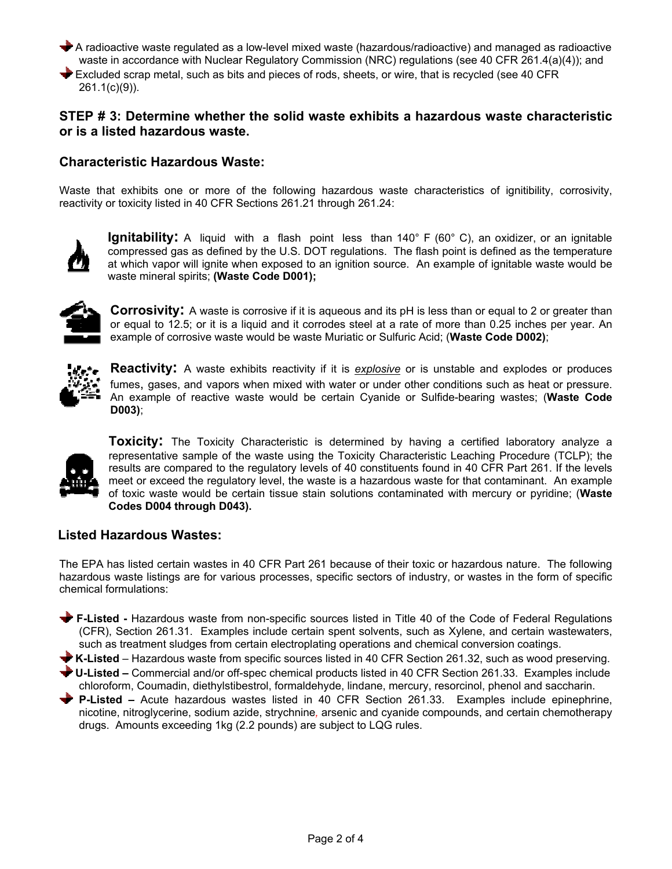A radioactive waste regulated as a low-level mixed waste (hazardous/radioactive) and managed as radioactive waste in accordance with Nuclear Regulatory Commission (NRC) regulations (see 40 CFR 261.4(a)(4)); and Excluded scrap metal, such as bits and pieces of rods, sheets, or wire, that is recycled (see 40 CFR 261.1(c)(9)).

## **STEP # 3: Determine whether the solid waste exhibits a hazardous waste characteristic or is a listed hazardous waste.**

## **Characteristic Hazardous Waste:**

Waste that exhibits one or more of the following hazardous waste characteristics of ignitibility, corrosivity, reactivity or toxicity listed in 40 CFR Sections 261.21 through 261.24:



**Ignitability:** A liquid with a flash point less than 140° F (60° C), an oxidizer, or an ignitable compressed gas as defined by the U.S. DOT regulations. The flash point is defined as the temperature at which vapor will ignite when exposed to an ignition source. An example of ignitable waste would be waste mineral spirits; **(Waste Code D001);**



**Corrosivity:** A waste is corrosive if it is aqueous and its pH is less than or equal to 2 or greater than or equal to 12.5; or it is a liquid and it corrodes steel at a rate of more than 0.25 inches per year. An example of corrosive waste would be waste Muriatic or Sulfuric Acid; (**Waste Code D002)**;



**Reactivity:** A waste exhibits reactivity if it is *explosive* or is unstable and explodes or produces fumes, gases, and vapors when mixed with water or under other conditions such as heat or pressure. An example of reactive waste would be certain Cyanide or Sulfide-bearing wastes; (**Waste Code D003)**;



**Toxicity:** The Toxicity Characteristic is determined by having a certified laboratory analyze a representative sample of the waste using the Toxicity Characteristic Leaching Procedure (TCLP); the results are compared to the regulatory levels of 40 constituents found in 40 CFR Part 261. If the levels meet or exceed the regulatory level, the waste is a hazardous waste for that contaminant. An example of toxic waste would be certain tissue stain solutions contaminated with mercury or pyridine; (**Waste Codes D004 through D043).** 

## **Listed Hazardous Wastes:**

The EPA has listed certain wastes in 40 CFR Part 261 because of their toxic or hazardous nature. The following hazardous waste listings are for various processes, specific sectors of industry, or wastes in the form of specific chemical formulations:

- **F-Listed** Hazardous waste from non-specific sources listed in Title 40 of the Code of Federal Regulations (CFR), Section 261.31. Examples include certain spent solvents, such as Xylene, and certain wastewaters, such as treatment sludges from certain electroplating operations and chemical conversion coatings.
- **K-Listed** Hazardous waste from specific sources listed in 40 CFR Section 261.32, such as wood preserving.
- **U-Listed** Commercial and/or off-spec chemical products listed in 40 CFR Section 261.33. Examples include chloroform, Coumadin, diethylstibestrol, formaldehyde, lindane, mercury, resorcinol, phenol and saccharin.
- **P-Listed** Acute hazardous wastes listed in 40 CFR Section 261.33. Examples include epinephrine, nicotine, nitroglycerine, sodium azide, strychnine*,* arsenic and cyanide compounds, and certain chemotherapy drugs. Amounts exceeding 1kg (2.2 pounds) are subject to LQG rules.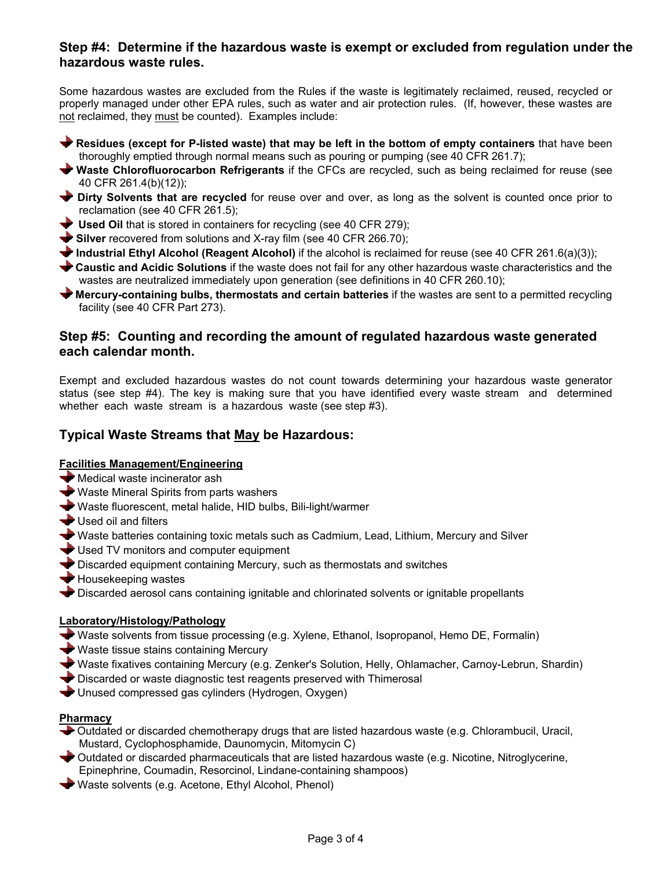# **Step #4: Determine if the hazardous waste is exempt or excluded from regulation under the hazardous waste rules.**

Some hazardous wastes are excluded from the Rules if the waste is legitimately reclaimed, reused, recycled or properly managed under other EPA rules, such as water and air protection rules. (If, however, these wastes are not reclaimed, they must be counted). Examples include:

- **Residues (except for P-listed waste) that may be left in the bottom of empty containers** that have been thoroughly emptied through normal means such as pouring or pumping (see 40 CFR 261.7);
- **Waste Chlorofluorocarbon Refrigerants** if the CFCs are recycled, such as being reclaimed for reuse (see 40 CFR 261.4(b)(12));
- **Dirty Solvents that are recycled** for reuse over and over, as long as the solvent is counted once prior to reclamation (see 40 CFR 261.5);
- **Used Oil** that is stored in containers for recycling (see 40 CFR 279);
- Silver recovered from solutions and X-ray film (see 40 CFR 266.70);
- **Industrial Ethyl Alcohol (Reagent Alcohol)** if the alcohol is reclaimed for reuse (see 40 CFR 261.6(a)(3));
- **Caustic and Acidic Solutions** if the waste does not fail for any other hazardous waste characteristics and the wastes are neutralized immediately upon generation (see definitions in 40 CFR 260.10);
- **Mercury-containing bulbs, thermostats and certain batteries** if the wastes are sent to a permitted recycling facility (see 40 CFR Part 273).

## **Step #5: Counting and recording the amount of regulated hazardous waste generated each calendar month.**

Exempt and excluded hazardous wastes do not count towards determining your hazardous waste generator status (see step #4). The key is making sure that you have identified every waste stream and determined whether each waste stream is a hazardous waste (see step #3).

# **Typical Waste Streams that May be Hazardous:**

## **Facilities Management/Engineering**

- Medical waste incinerator ash
- Waste Mineral Spirits from parts washers
- Waste fluorescent, metal halide, HID bulbs, Bili-light/warmer
- Used oil and filters
- Waste batteries containing toxic metals such as Cadmium, Lead, Lithium, Mercury and Silver
- Used TV monitors and computer equipment
- Discarded equipment containing Mercury, such as thermostats and switches
- $\blacktriangleright$  Housekeeping wastes
- Discarded aerosol cans containing ignitable and chlorinated solvents or ignitable propellants

#### **Laboratory/Histology/Pathology**

- Waste solvents from tissue processing (e.g. Xylene, Ethanol, Isopropanol, Hemo DE, Formalin)
- Waste tissue stains containing Mercury
- Waste fixatives containing Mercury (e.g. Zenker's Solution, Helly, Ohlamacher, Carnoy-Lebrun, Shardin)
- Discarded or waste diagnostic test reagents preserved with Thimerosal
- Unused compressed gas cylinders (Hydrogen, Oxygen)

#### **Pharmacy**

- Outdated or discarded chemotherapy drugs that are listed hazardous waste (e.g. Chlorambucil, Uracil, Mustard, Cyclophosphamide, Daunomycin, Mitomycin C)
- Outdated or discarded pharmaceuticals that are listed hazardous waste (e.g. Nicotine, Nitroglycerine, Epinephrine, Coumadin, Resorcinol, Lindane-containing shampoos)
- Waste solvents (e.g. Acetone, Ethyl Alcohol, Phenol)